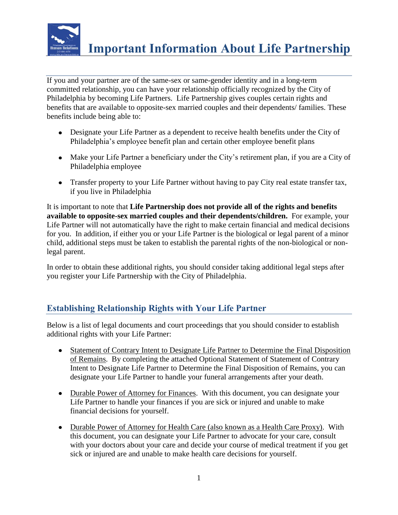

If you and your partner are of the same-sex or same-gender identity and in a long-term committed relationship, you can have your relationship officially recognized by the City of Philadelphia by becoming Life Partners. Life Partnership gives couples certain rights and benefits that are available to opposite-sex married couples and their dependents/ families. These benefits include being able to:

- Designate your Life Partner as a dependent to receive health benefits under the City of Philadelphia's employee benefit plan and certain other employee benefit plans
- Make your Life Partner a beneficiary under the City's retirement plan, if you are a City of Philadelphia employee
- Transfer property to your Life Partner without having to pay City real estate transfer tax, if you live in Philadelphia

It is important to note that **Life Partnership does not provide all of the rights and benefits available to opposite-sex married couples and their dependents/children.** For example, your Life Partner will not automatically have the right to make certain financial and medical decisions for you. In addition, if either you or your Life Partner is the biological or legal parent of a minor child, additional steps must be taken to establish the parental rights of the non-biological or nonlegal parent.

In order to obtain these additional rights, you should consider taking additional legal steps after you register your Life Partnership with the City of Philadelphia.

## **Establishing Relationship Rights with Your Life Partner**

Below is a list of legal documents and court proceedings that you should consider to establish additional rights with your Life Partner:

- Statement of Contrary Intent to Designate Life Partner to Determine the Final Disposition of Remains. By completing the attached Optional Statement of Statement of Contrary Intent to Designate Life Partner to Determine the Final Disposition of Remains, you can designate your Life Partner to handle your funeral arrangements after your death.
- Durable Power of Attorney for Finances. With this document, you can designate your Life Partner to handle your finances if you are sick or injured and unable to make financial decisions for yourself.
- Durable Power of Attorney for Health Care (also known as a Health Care Proxy). With this document, you can designate your Life Partner to advocate for your care, consult with your doctors about your care and decide your course of medical treatment if you get sick or injured are and unable to make health care decisions for yourself.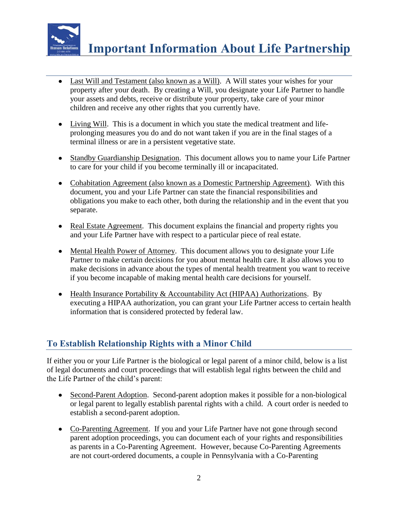

- Last Will and Testament (also known as a Will). A Will states your wishes for your property after your death. By creating a Will, you designate your Life Partner to handle your assets and debts, receive or distribute your property, take care of your minor children and receive any other rights that you currently have.
- Living Will. This is a document in which you state the medical treatment and lifeprolonging measures you do and do not want taken if you are in the final stages of a terminal illness or are in a persistent vegetative state.
- Standby Guardianship Designation. This document allows you to name your Life Partner to care for your child if you become terminally ill or incapacitated.
- Cohabitation Agreement (also known as a Domestic Partnership Agreement). With this document, you and your Life Partner can state the financial responsibilities and obligations you make to each other, both during the relationship and in the event that you separate.
- Real Estate Agreement. This document explains the financial and property rights you and your Life Partner have with respect to a particular piece of real estate.
- Mental Health Power of Attorney. This document allows you to designate your Life Partner to make certain decisions for you about mental health care. It also allows you to make decisions in advance about the types of mental health treatment you want to receive if you become incapable of making mental health care decisions for yourself.
- Health Insurance Portability & Accountability Act (HIPAA) Authorizations. By executing a HIPAA authorization, you can grant your Life Partner access to certain health information that is considered protected by federal law.

## **To Establish Relationship Rights with a Minor Child**

If either you or your Life Partner is the biological or legal parent of a minor child, below is a list of legal documents and court proceedings that will establish legal rights between the child and the Life Partner of the child's parent:

- Second-Parent Adoption. Second-parent adoption makes it possible for a non-biological or legal parent to legally establish parental rights with a child. A court order is needed to establish a second-parent adoption.
- Co-Parenting Agreement. If you and your Life Partner have not gone through second parent adoption proceedings, you can document each of your rights and responsibilities as parents in a Co-Parenting Agreement. However, because Co-Parenting Agreements are not court-ordered documents, a couple in Pennsylvania with a Co-Parenting